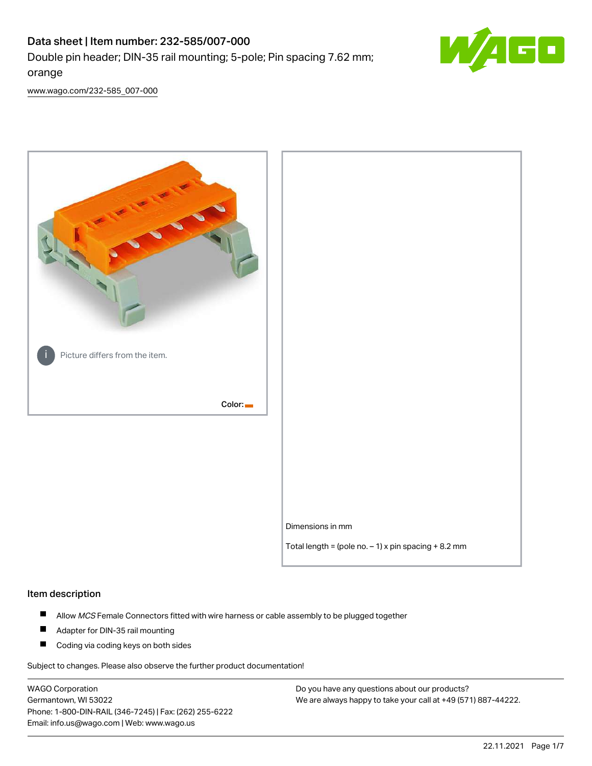# Data sheet | Item number: 232-585/007-000 Double pin header; DIN-35 rail mounting; 5-pole; Pin spacing 7.62 mm; orange



[www.wago.com/232-585\\_007-000](http://www.wago.com/232-585_007-000)



#### Item description

- $\blacksquare$ Allow MCS Female Connectors fitted with wire harness or cable assembly to be plugged together
- $\blacksquare$ Adapter for DIN-35 rail mounting
- $\blacksquare$ Coding via coding keys on both sides

Subject to changes. Please also observe the further product documentation!

WAGO Corporation Germantown, WI 53022 Phone: 1-800-DIN-RAIL (346-7245) | Fax: (262) 255-6222 Email: info.us@wago.com | Web: www.wago.us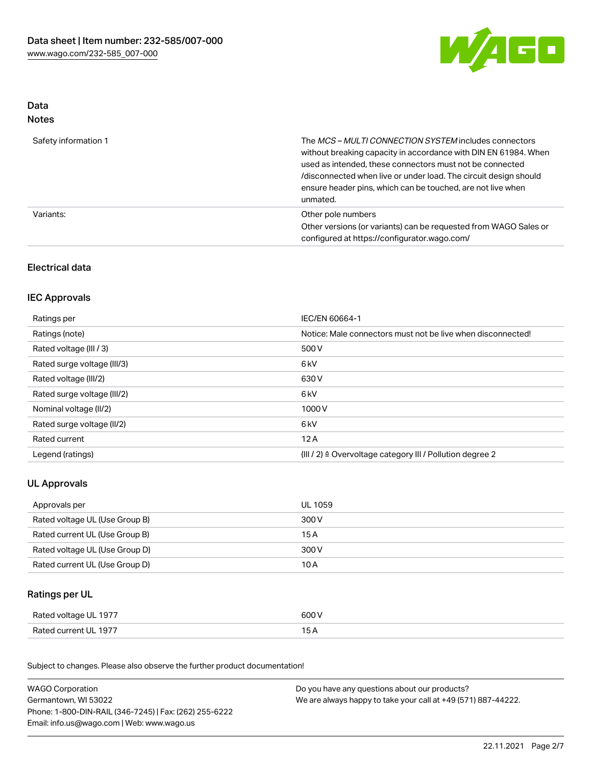

### Data Notes

| Safety information 1 | The <i>MCS – MULTI CONNECTION SYSTEM</i> includes connectors<br>without breaking capacity in accordance with DIN EN 61984. When<br>used as intended, these connectors must not be connected<br>/disconnected when live or under load. The circuit design should<br>ensure header pins, which can be touched, are not live when<br>unmated. |
|----------------------|--------------------------------------------------------------------------------------------------------------------------------------------------------------------------------------------------------------------------------------------------------------------------------------------------------------------------------------------|
| Variants:            | Other pole numbers<br>Other versions (or variants) can be requested from WAGO Sales or<br>configured at https://configurator.wago.com/                                                                                                                                                                                                     |

## Electrical data

## IEC Approvals

| Ratings per                 | IEC/EN 60664-1                                                        |
|-----------------------------|-----------------------------------------------------------------------|
| Ratings (note)              | Notice: Male connectors must not be live when disconnected!           |
| Rated voltage (III / 3)     | 500 V                                                                 |
| Rated surge voltage (III/3) | 6 <sub>kV</sub>                                                       |
| Rated voltage (III/2)       | 630 V                                                                 |
| Rated surge voltage (III/2) | 6 <sub>kV</sub>                                                       |
| Nominal voltage (II/2)      | 1000V                                                                 |
| Rated surge voltage (II/2)  | 6 <sub>kV</sub>                                                       |
| Rated current               | 12A                                                                   |
| Legend (ratings)            | $(III / 2)$ $\triangle$ Overvoltage category III / Pollution degree 2 |

## UL Approvals

| Approvals per                  | UL 1059 |
|--------------------------------|---------|
| Rated voltage UL (Use Group B) | 300 V   |
| Rated current UL (Use Group B) | 15 A    |
| Rated voltage UL (Use Group D) | 300 V   |
| Rated current UL (Use Group D) | 10 A    |

## Ratings per UL

| Rated voltage UL 1977 | 600 V |
|-----------------------|-------|
| Rated current UL 1977 |       |

Subject to changes. Please also observe the further product documentation!

| <b>WAGO Corporation</b>                                | Do you have any questions about our products?                 |  |
|--------------------------------------------------------|---------------------------------------------------------------|--|
| Germantown, WI 53022                                   | We are always happy to take your call at +49 (571) 887-44222. |  |
| Phone: 1-800-DIN-RAIL (346-7245)   Fax: (262) 255-6222 |                                                               |  |
| Email: info.us@wago.com   Web: www.wago.us             |                                                               |  |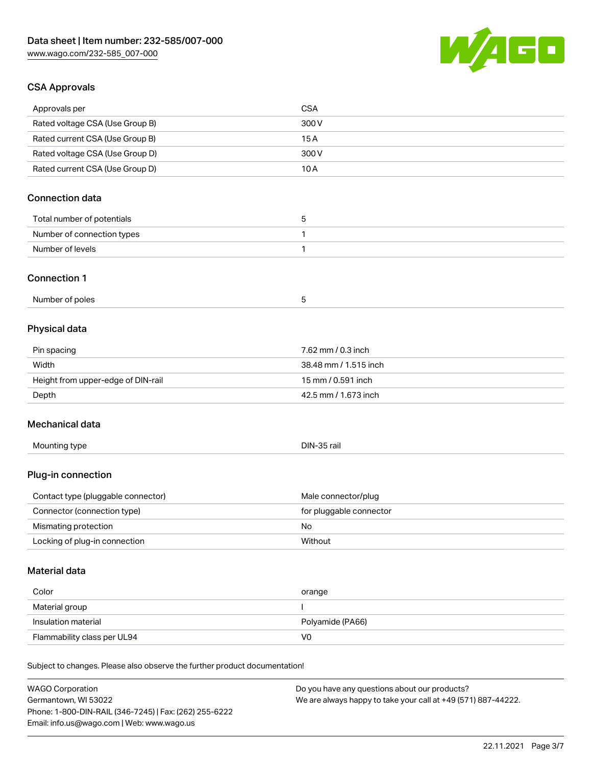

## CSA Approvals

| Approvals per                                                              | <b>CSA</b>                                    |
|----------------------------------------------------------------------------|-----------------------------------------------|
| Rated voltage CSA (Use Group B)                                            | 300 V                                         |
| Rated current CSA (Use Group B)                                            | 15A                                           |
| Rated voltage CSA (Use Group D)                                            | 300 V                                         |
| Rated current CSA (Use Group D)                                            | 10A                                           |
| <b>Connection data</b>                                                     |                                               |
|                                                                            |                                               |
| Total number of potentials                                                 | 5                                             |
| Number of connection types                                                 | 1                                             |
| Number of levels                                                           | 1                                             |
| <b>Connection 1</b>                                                        |                                               |
| Number of poles                                                            | 5                                             |
| Physical data                                                              |                                               |
| Pin spacing                                                                | 7.62 mm / 0.3 inch                            |
| Width                                                                      | 38.48 mm / 1.515 inch                         |
| Height from upper-edge of DIN-rail                                         | 15 mm / 0.591 inch                            |
| Depth                                                                      | 42.5 mm / 1.673 inch                          |
|                                                                            |                                               |
| Mechanical data                                                            |                                               |
| Mounting type                                                              | DIN-35 rail                                   |
| Plug-in connection                                                         |                                               |
| Contact type (pluggable connector)                                         | Male connector/plug                           |
| Connector (connection type)                                                | for pluggable connector                       |
| Mismating protection                                                       | No                                            |
| Locking of plug-in connection                                              | Without                                       |
|                                                                            |                                               |
| Material data                                                              |                                               |
| Color                                                                      | orange                                        |
| Material group                                                             |                                               |
| Insulation material                                                        | Polyamide (PA66)                              |
| Flammability class per UL94                                                | V <sub>0</sub>                                |
| Subject to changes. Please also observe the further product documentation! |                                               |
| <b>WAGO Corporation</b>                                                    | Do you have any questions about our products? |

Germantown, WI 53022 Phone: 1-800-DIN-RAIL (346-7245) | Fax: (262) 255-6222 Email: info.us@wago.com | Web: www.wago.us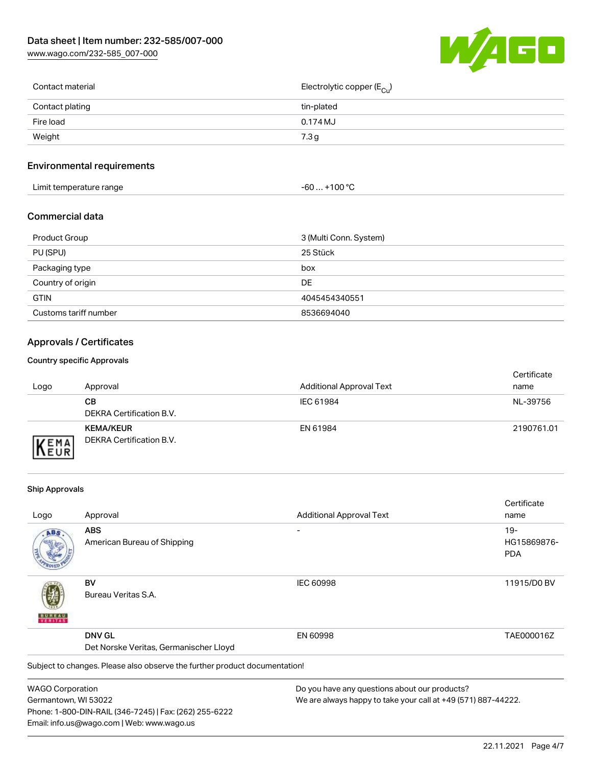[www.wago.com/232-585\\_007-000](http://www.wago.com/232-585_007-000)



| Contact material | Electrolytic copper (E <sub>Cu</sub> ) |
|------------------|----------------------------------------|
| Contact plating  | tin-plated                             |
| Fire load        | 0.174 MJ                               |
| Weight           | 7.3g                                   |
|                  |                                        |

## Environmental requirements

| Limit temperature range<br>the contract of the contract of the contract of the contract of the contract of the contract of the contract of | $. +100 °C$<br>-60 |
|--------------------------------------------------------------------------------------------------------------------------------------------|--------------------|
|--------------------------------------------------------------------------------------------------------------------------------------------|--------------------|

#### Commercial data

| Product Group         | 3 (Multi Conn. System) |
|-----------------------|------------------------|
| PU (SPU)              | 25 Stück               |
| Packaging type        | box                    |
| Country of origin     | DE.                    |
| <b>GTIN</b>           | 4045454340551          |
| Customs tariff number | 8536694040             |

## Approvals / Certificates

#### Country specific Approvals

| Logo               | Approval                                            | <b>Additional Approval Text</b> | Certificate<br>name |
|--------------------|-----------------------------------------------------|---------------------------------|---------------------|
|                    | CВ<br>DEKRA Certification B.V.                      | IEC 61984                       | NL-39756            |
| EMA<br><b>NEUR</b> | <b>KEMA/KEUR</b><br><b>DEKRA Certification B.V.</b> | EN 61984                        | 2190761.01          |

#### Ship Approvals

Email: info.us@wago.com | Web: www.wago.us

|                                        |                                                                            |                                                               | Certificate |
|----------------------------------------|----------------------------------------------------------------------------|---------------------------------------------------------------|-------------|
| Logo                                   | Approval                                                                   | <b>Additional Approval Text</b>                               | name        |
| ABS                                    | <b>ABS</b>                                                                 |                                                               | $19-$       |
|                                        | American Bureau of Shipping                                                |                                                               | HG15869876- |
|                                        |                                                                            |                                                               | <b>PDA</b>  |
|                                        | BV                                                                         | <b>IEC 60998</b>                                              | 11915/D0 BV |
|                                        | Bureau Veritas S.A.                                                        |                                                               |             |
|                                        | <b>DNV GL</b>                                                              | EN 60998                                                      | TAE000016Z  |
| Det Norske Veritas, Germanischer Lloyd |                                                                            |                                                               |             |
|                                        | Subject to changes. Please also observe the further product documentation! |                                                               |             |
| <b>WAGO Corporation</b>                |                                                                            | Do you have any questions about our products?                 |             |
| Germantown, WI 53022                   |                                                                            | We are always happy to take your call at +49 (571) 887-44222. |             |
|                                        | Phone: 1-800-DIN-RAIL (346-7245)   Fax: (262) 255-6222                     |                                                               |             |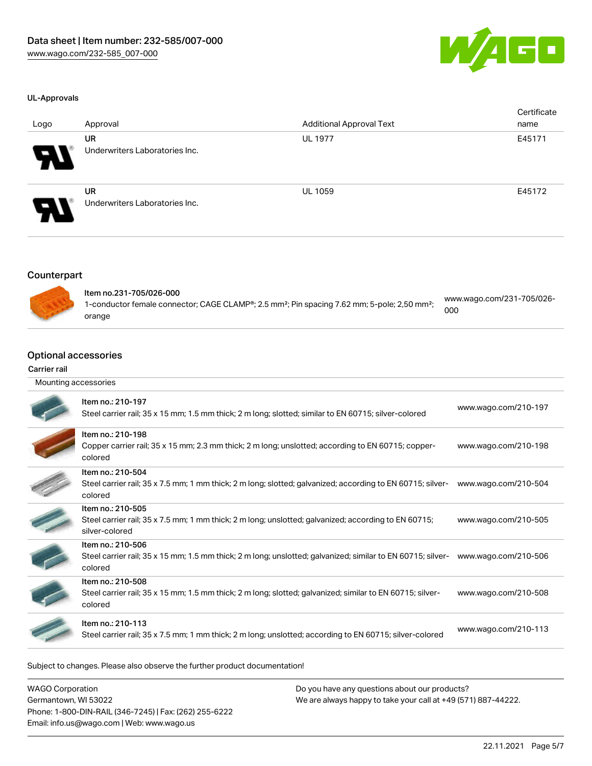

#### UL-Approvals

| Logo                       | Approval                                    | <b>Additional Approval Text</b> | Certificate<br>name |
|----------------------------|---------------------------------------------|---------------------------------|---------------------|
| $\boldsymbol{\mathcal{P}}$ | <b>UR</b><br>Underwriters Laboratories Inc. | <b>UL 1977</b>                  | E45171              |
| $\boldsymbol{\mathcal{P}}$ | <b>UR</b><br>Underwriters Laboratories Inc. | <b>UL 1059</b>                  | E45172              |

#### Counterpart



| Item no.231-705/026-000                                                                                              | www.wago.com/231-705/026- |
|----------------------------------------------------------------------------------------------------------------------|---------------------------|
| 1-conductor female connector; CAGE CLAMP®; 2.5 mm <sup>2</sup> ; Pin spacing 7.62 mm; 5-pole; 2,50 mm <sup>2</sup> ; | 000                       |
| orange                                                                                                               |                           |

#### Optional accessories

#### Carrier rail

| Mounting accessories |                                                                                                                                             |                      |
|----------------------|---------------------------------------------------------------------------------------------------------------------------------------------|----------------------|
|                      | Item no.: 210-197<br>Steel carrier rail; 35 x 15 mm; 1.5 mm thick; 2 m long; slotted; similar to EN 60715; silver-colored                   | www.wago.com/210-197 |
|                      | Item no.: 210-198<br>Copper carrier rail; 35 x 15 mm; 2.3 mm thick; 2 m long; unslotted; according to EN 60715; copper-<br>colored          | www.wago.com/210-198 |
|                      | Item no.: 210-504<br>Steel carrier rail; 35 x 7.5 mm; 1 mm thick; 2 m long; slotted; galvanized; according to EN 60715; silver-<br>colored  | www.wago.com/210-504 |
|                      | Item no.: 210-505<br>Steel carrier rail; 35 x 7.5 mm; 1 mm thick; 2 m long; unslotted; galvanized; according to EN 60715;<br>silver-colored | www.wago.com/210-505 |
|                      | Item no.: 210-506<br>Steel carrier rail; 35 x 15 mm; 1.5 mm thick; 2 m long; unslotted; galvanized; similar to EN 60715; silver-<br>colored | www.wago.com/210-506 |
|                      | Item no.: 210-508<br>Steel carrier rail; 35 x 15 mm; 1.5 mm thick; 2 m long; slotted; galvanized; similar to EN 60715; silver-<br>colored   | www.wago.com/210-508 |
|                      | Item no.: 210-113<br>Steel carrier rail; 35 x 7.5 mm; 1 mm thick; 2 m long; unslotted; according to EN 60715; silver-colored                | www.wago.com/210-113 |

Subject to changes. Please also observe the further product documentation!

WAGO Corporation Germantown, WI 53022 Phone: 1-800-DIN-RAIL (346-7245) | Fax: (262) 255-6222 Email: info.us@wago.com | Web: www.wago.us Do you have any questions about our products? We are always happy to take your call at +49 (571) 887-44222.

22.11.2021 Page 5/7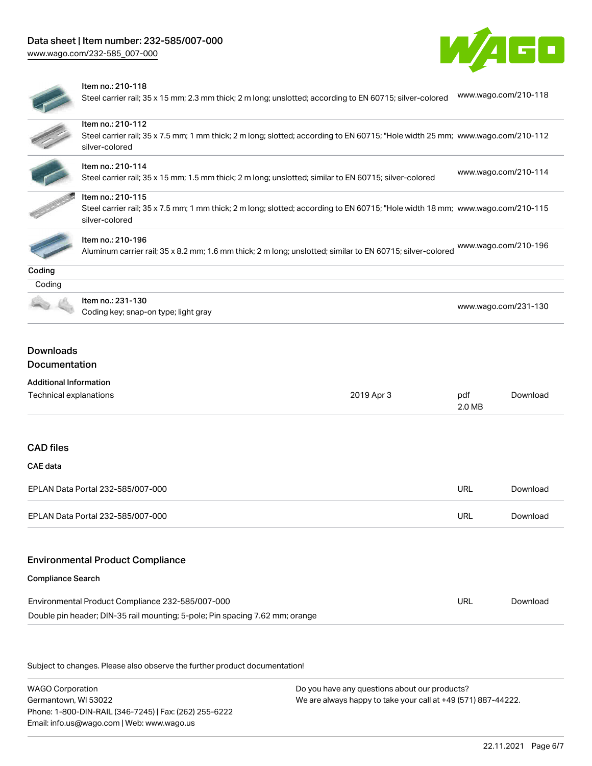

Steel carrier rail; 35 x 15 mm; 2.3 mm thick; 2 m long; unslotted; according to EN 60715; silver-colored [www.wago.com/210-118](http://www.wago.com/210-118)

|                                                                          | Item no.: 210-112                                                                                                                                |               |                      |  |
|--------------------------------------------------------------------------|--------------------------------------------------------------------------------------------------------------------------------------------------|---------------|----------------------|--|
|                                                                          | Steel carrier rail; 35 x 7.5 mm; 1 mm thick; 2 m long; slotted; according to EN 60715; "Hole width 25 mm; www.wago.com/210-112<br>silver-colored |               |                      |  |
|                                                                          | Item no.: 210-114                                                                                                                                |               |                      |  |
|                                                                          | Steel carrier rail; 35 x 15 mm; 1.5 mm thick; 2 m long; unslotted; similar to EN 60715; silver-colored                                           |               | www.wago.com/210-114 |  |
|                                                                          | Item no.: 210-115                                                                                                                                |               |                      |  |
|                                                                          | Steel carrier rail; 35 x 7.5 mm; 1 mm thick; 2 m long; slotted; according to EN 60715; "Hole width 18 mm; www.wago.com/210-115<br>silver-colored |               |                      |  |
|                                                                          | Item no.: 210-196                                                                                                                                |               | www.wago.com/210-196 |  |
|                                                                          | Aluminum carrier rail; 35 x 8.2 mm; 1.6 mm thick; 2 m long; unslotted; similar to EN 60715; silver-colored                                       |               |                      |  |
| Coding                                                                   |                                                                                                                                                  |               |                      |  |
| Coding                                                                   |                                                                                                                                                  |               |                      |  |
|                                                                          | Item no.: 231-130                                                                                                                                |               | www.wago.com/231-130 |  |
|                                                                          | Coding key; snap-on type; light gray                                                                                                             |               |                      |  |
| Documentation<br><b>Additional Information</b><br>Technical explanations | 2019 Apr 3                                                                                                                                       | pdf<br>2.0 MB | Download             |  |
|                                                                          |                                                                                                                                                  |               |                      |  |
|                                                                          |                                                                                                                                                  |               |                      |  |
|                                                                          | EPLAN Data Portal 232-585/007-000                                                                                                                | <b>URL</b>    | Download             |  |
|                                                                          | EPLAN Data Portal 232-585/007-000                                                                                                                | URL           | Download             |  |
|                                                                          | <b>Environmental Product Compliance</b>                                                                                                          |               |                      |  |
|                                                                          |                                                                                                                                                  |               |                      |  |
| <b>CAD</b> files<br><b>CAE</b> data<br><b>Compliance Search</b>          | Environmental Product Compliance 232-585/007-000                                                                                                 | <b>URL</b>    | Download             |  |

Subject to changes. Please also observe the further product documentation!

WAGO Corporation Germantown, WI 53022 Phone: 1-800-DIN-RAIL (346-7245) | Fax: (262) 255-6222 Email: info.us@wago.com | Web: www.wago.us